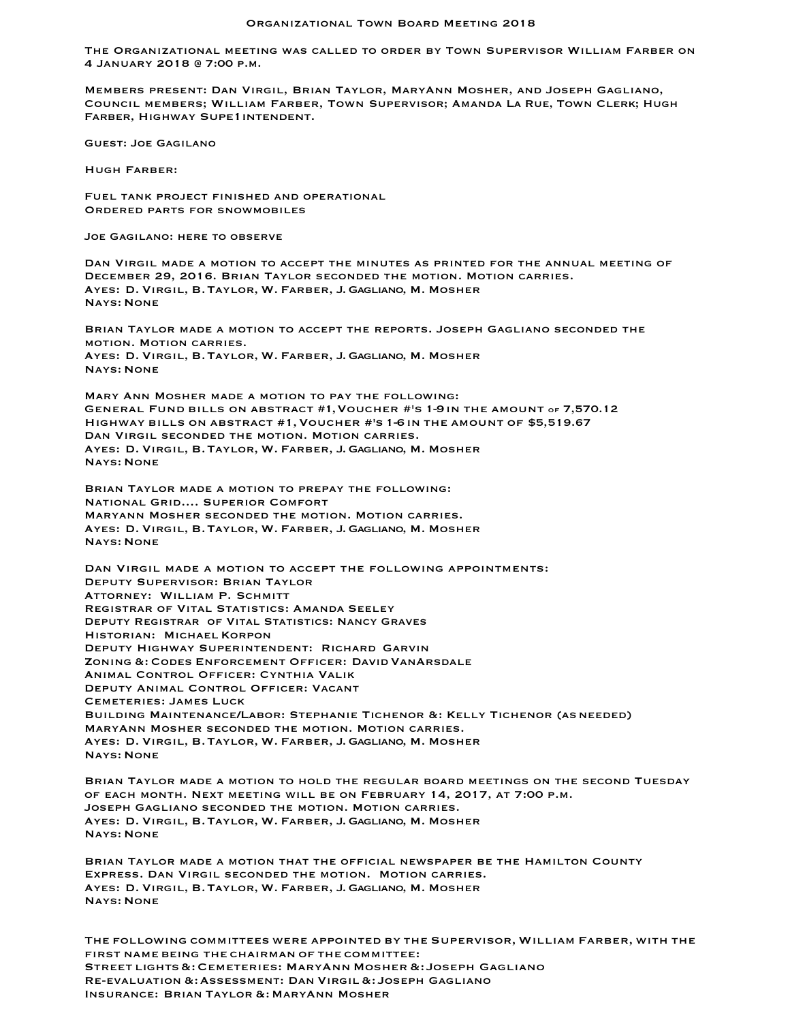The Organizational meeting was called to order by Town Supervisor William Farber on 4 January 2018 @ 7:00 p.m.

Members present: Dan Virgil, Brian Taylor, MaryAnn Mosher, and Joseph Gagliano, Council members; William Farber, Town Supervisor; Amanda La Rue, Town Clerk; Hugh FARBER, HIGHWAY SUPE1INTENDENT.

Guest: Joe Gagilano

Hugh Farber:

Fuel tank project finished and operational Ordered parts for snowmobiles

Joe Gagilano: here to observe

Dan Virgil made a motion to accept the minutes as printed for the annual meeting of December 29, 2016. Brian Taylor seconded the motion. Motion carries. Ayes: D. Virgil, B.Taylor, W. Farber, J. Gagliano, M. Mosher Nays: None

Brian Taylor made a motion to accept the reports. Joseph Gagliano seconded the motion. Motion carries. Ayes: D. Virgil, B.Taylor, W. Farber, J. Gagliano, M. Mosher Nays: None

Mary Ann Mosher made a motion to pay the following: General Fund bills on abstract #1,Voucher #'s 1-9in the amount of 7,570.12 Highway bills on abstract #1,Voucher #'s 1-6in the amount of \$5,519.67 Dan Virgil seconded the motion. Motion carries. Ayes: D. Virgil, B.Taylor, W. Farber, J. Gagliano, M. Mosher Nays: None

Brian Taylor made a motion to prepay the following: National Grid…. Superior Comfort Maryann Mosher seconded the motion. Motion carries. Ayes: D. Virgil, B.Taylor, W. Farber, J. Gagliano, M. Mosher Nays: None

Dan Virgil made a motion to accept the following appointments: Deputy Supervisor: Brian Taylor Attorney: William P. Schmitt Registrar of Vital Statistics: Amanda Seeley Deputy Registrar of Vital Statistics: Nancy Graves Historian: Michael Korpon Deputy Highway Superintendent: Richard Garvin Zoning &: Codes Enforcement Officer: David VanArsdale Animal Control Officer: Cynthia Valik Deputy Animal Control Officer: Vacant Cemeteries: James Luck Building Maintenance/Labor: Stephanie Tichenor &: Kelly Tichenor (asneeded) MaryAnn Mosher seconded the motion. Motion carries. Ayes: D. Virgil, B.Taylor, W. Farber, J. Gagliano, M. Mosher Nays: None

Brian Taylor made a motion to hold the regular board meetings on the second Tuesday of each month. Next meeting will be on February 14, 2017, at 7:00 p.m. Joseph Gagliano seconded the motion. Motion carries. Ayes: D. Virgil, B.Taylor, W. Farber, J. Gagliano, M. Mosher Nays: None

Brian Taylor made a motion that the official newspaper be the Hamilton County Express. Dan Virgil seconded the motion. Motion carries. Ayes: D. Virgil, B.Taylor, W. Farber, J. Gagliano, M. Mosher Nays: None

The following committees were appointed by the Supervisor, William Farber, with the first name being the chairman of the committee: Street lights&:Cemeteries: MaryAnn Mosher &: Joseph Gagliano Re-evaluation &:Assessment: Dan Virgil &: Joseph Gagliano Insurance: Brian Taylor &: MaryAnn Mosher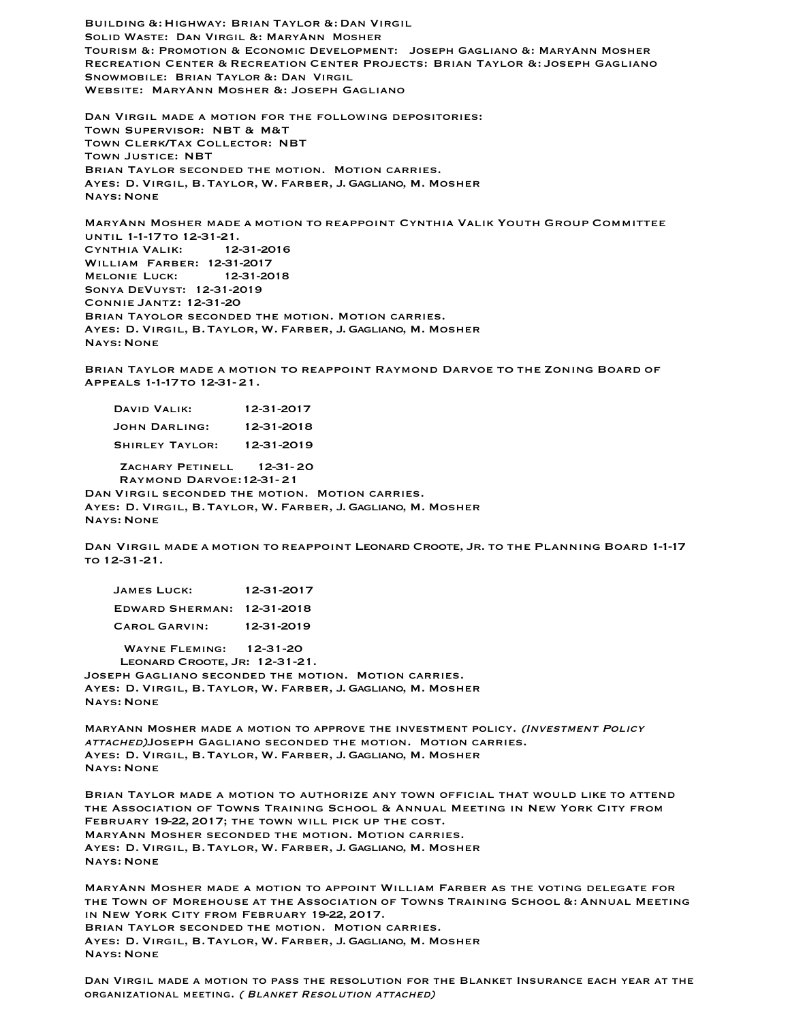Building &:Highway: Brian Taylor &: Dan Virgil Solid Waste: Dan Virgil &: MaryAnn Mosher Tourism &: Promotion & Economic Development: Joseph Gagliano &: MaryAnn Mosher Recreation Center & Recreation Center Projects: Brian Taylor &: Joseph Gagliano Snowmobile: Brian Taylor &: Dan Virgil Website: MaryAnn Mosher &: Joseph Gagliano

Dan Virgil made a motion for the following depositories: Town Supervisor: NBT & M&T Town Clerk/Tax Collector: NBT Town Justice: NBT Brian Taylor seconded the motion. Motion carries. Ayes: D. Virgil, B.Taylor, W. Farber, J. Gagliano, M. Mosher Nays: None

MaryAnn Mosher made a motion to reappoint Cynthia Valik Youth Group Committee until 1-1-17to 12-31-21. Cynthia Valik: 12-31-2016 William Farber: 12-31-2017 Melonie Luck: 12-31-2018 Sonya DeVuyst: 12-31-2019 Connie Jantz: 12-31-20 Brian Tayolor seconded the motion. Motion carries. Ayes: D. Virgil, B.Taylor, W. Farber, J. Gagliano, M. Mosher Nays: None

Brian Taylor made a motion to reappoint Raymond Darvoe to the Zoning Board of Appeals 1-1-17to 12-31-21.

| DAVID VALIK:           | 12-31-2017 |
|------------------------|------------|
| JOHN DARLING:          | 12-31-2018 |
| <b>SHIRLEY TAYLOR:</b> | 12-31-2019 |

ZACHARY PETINELL 12-31-20 Raymond Darvoe:12-31-21 Dan Virgil seconded the motion. Motion carries. Ayes: D. Virgil, B.Taylor, W. Farber, J. Gagliano, M. Mosher Nays: None

Dan Virgil made a motion to reappoint Leonard Croote, Jr. to the Planning Board 1-1-17 to 12-31-21.

| <b>JAMES LUCK:</b>     | 12-31-2017 |
|------------------------|------------|
| <b>EDWARD SHERMAN:</b> | 12-31-2018 |
| <b>CAROL GARVIN:</b>   | 12-31-2019 |

 Wayne Fleming: 12-31-20 LEONARD CROOTE, JR: 12-31-21. Joseph Gagliano seconded the motion. Motion carries. Ayes: D. Virgil, B.Taylor, W. Farber, J. Gagliano, M. Mosher Nays: None

MaryAnn Mosher made a motion to approve the investment policy. (Investment Policy attached)Joseph Gagliano seconded the motion. Motion carries. Ayes: D. Virgil, B.Taylor, W. Farber, J. Gagliano, M. Mosher Nays: None

Brian Taylor made a motion to authorize any town official that would like to attend the Association of Towns Training School & Annual Meeting in New York City from February 19-22, 2017; the town will pick up the cost. MaryAnn Mosher seconded the motion. Motion carries. Ayes: D. Virgil, B.Taylor, W. Farber, J. Gagliano, M. Mosher Nays: None

MaryAnn Mosher made a motion to appoint William Farber as the voting delegate for the Town of Morehouse at the Association of Towns Training School &: Annual Meeting in New York City from February 19-22, 2017. Brian Taylor seconded the motion. Motion carries. Ayes: D. Virgil, B.Taylor, W. Farber, J. Gagliano, M. Mosher Nays: None